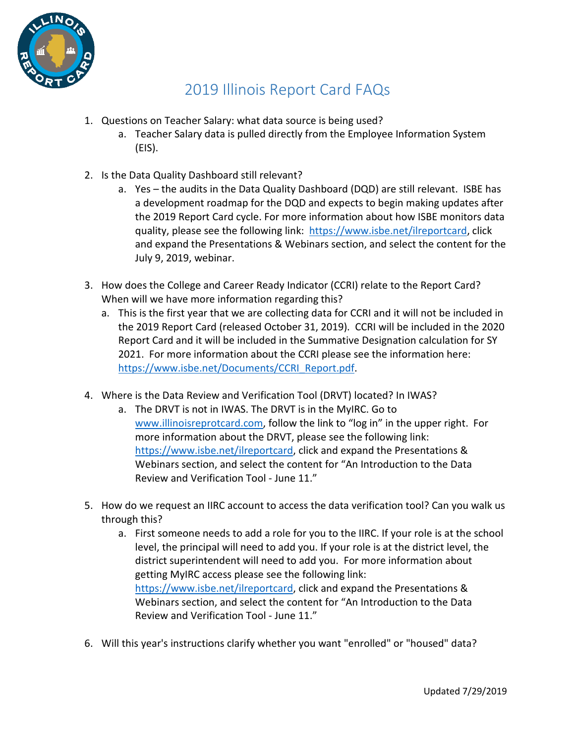

## 2019 Illinois Report Card FAQs

- 1. Questions on Teacher Salary: what data source is being used?
	- a. Teacher Salary data is pulled directly from the Employee Information System (EIS).
- 2. Is the Data Quality Dashboard still relevant?
	- a. Yes the audits in the Data Quality Dashboard (DQD) are still relevant. ISBE has a development roadmap for the DQD and expects to begin making updates after the 2019 Report Card cycle. For more information about how ISBE monitors data quality, please see the following link: [https://www.isbe.net/ilreportcard,](https://www.isbe.net/ilreportcard) click and expand the Presentations & Webinars section, and select the content for the July 9, 2019, webinar.
- 3. How does the College and Career Ready Indicator (CCRI) relate to the Report Card? When will we have more information regarding this?
	- a. This is the first year that we are collecting data for CCRI and it will not be included in the 2019 Report Card (released October 31, 2019). CCRI will be included in the 2020 Report Card and it will be included in the Summative Designation calculation for SY 2021. For more information about the CCRI please see the information here: [https://www.isbe.net/Documents/CCRI\\_Report.pdf.](https://www.isbe.net/Documents/CCRI_Report.pdf#search=ccri)
- 4. Where is the Data Review and Verification Tool (DRVT) located? In IWAS?
	- a. The DRVT is not in IWAS. The DRVT is in the MyIRC. Go to [www.illinoisreprotcard.com,](http://www.illinoisreprotcard.com/) follow the link to "log in" in the upper right. For more information about the DRVT, please see the following link: [https://www.isbe.net/ilreportcard,](https://www.isbe.net/ilreportcard) click and expand the Presentations & Webinars section, and select the content for "An Introduction to the Data Review and Verification Tool - June 11."
- 5. How do we request an IIRC account to access the data verification tool? Can you walk us through this?
	- a. First someone needs to add a role for you to the IIRC. If your role is at the school level, the principal will need to add you. If your role is at the district level, the district superintendent will need to add you. For more information about getting MyIRC access please see the following link: [https://www.isbe.net/ilreportcard,](https://www.isbe.net/ilreportcard) click and expand the Presentations & Webinars section, and select the content for "An Introduction to the Data Review and Verification Tool - June 11."
- 6. Will this year's instructions clarify whether you want "enrolled" or "housed" data?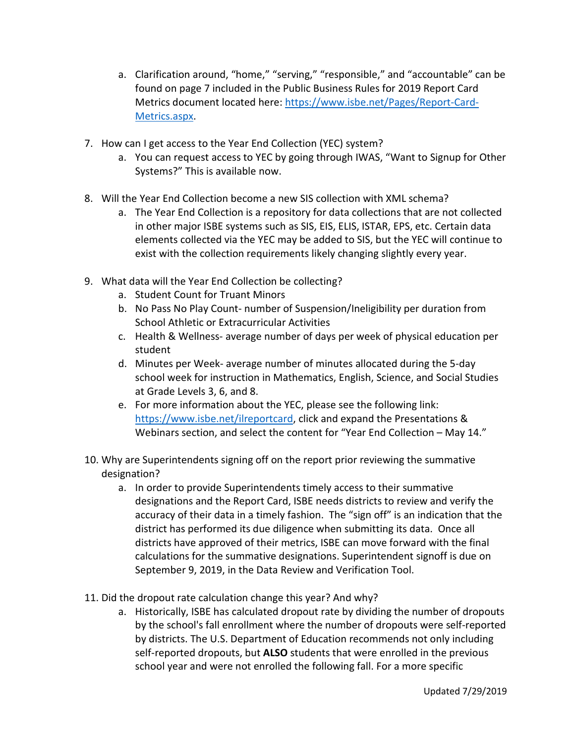- a. Clarification around, "home," "serving," "responsible," and "accountable" can be found on page 7 included in the Public Business Rules for 2019 Report Card Metrics document located here: [https://www.isbe.net/Pages/Report-Card-](https://www.isbe.net/Pages/Report-Card-Metrics.aspx)[Metrics.aspx.](https://www.isbe.net/Pages/Report-Card-Metrics.aspx)
- 7. How can I get access to the Year End Collection (YEC) system?
	- a. You can request access to YEC by going through IWAS, "Want to Signup for Other Systems?" This is available now.
- 8. Will the Year End Collection become a new SIS collection with XML schema?
	- a. The Year End Collection is a repository for data collections that are not collected in other major ISBE systems such as SIS, EIS, ELIS, ISTAR, EPS, etc. Certain data elements collected via the YEC may be added to SIS, but the YEC will continue to exist with the collection requirements likely changing slightly every year.
- 9. What data will the Year End Collection be collecting?
	- a. Student Count for Truant Minors
	- b. No Pass No Play Count- number of Suspension/Ineligibility per duration from School Athletic or Extracurricular Activities
	- c. Health & Wellness- average number of days per week of physical education per student
	- d. Minutes per Week- average number of minutes allocated during the 5-day school week for instruction in Mathematics, English, Science, and Social Studies at Grade Levels 3, 6, and 8.
	- e. For more information about the YEC, please see the following link: [https://www.isbe.net/ilreportcard,](https://www.isbe.net/ilreportcard) click and expand the Presentations & Webinars section, and select the content for "Year End Collection – May 14."
- 10. Why are Superintendents signing off on the report prior reviewing the summative designation?
	- a. In order to provide Superintendents timely access to their summative designations and the Report Card, ISBE needs districts to review and verify the accuracy of their data in a timely fashion. The "sign off" is an indication that the district has performed its due diligence when submitting its data. Once all districts have approved of their metrics, ISBE can move forward with the final calculations for the summative designations. Superintendent signoff is due on September 9, 2019, in the Data Review and Verification Tool.
- 11. Did the dropout rate calculation change this year? And why?
	- a. Historically, ISBE has calculated dropout rate by dividing the number of dropouts by the school's fall enrollment where the number of dropouts were self-reported by districts. The U.S. Department of Education recommends not only including self-reported dropouts, but **ALSO** students that were enrolled in the previous school year and were not enrolled the following fall. For a more specific